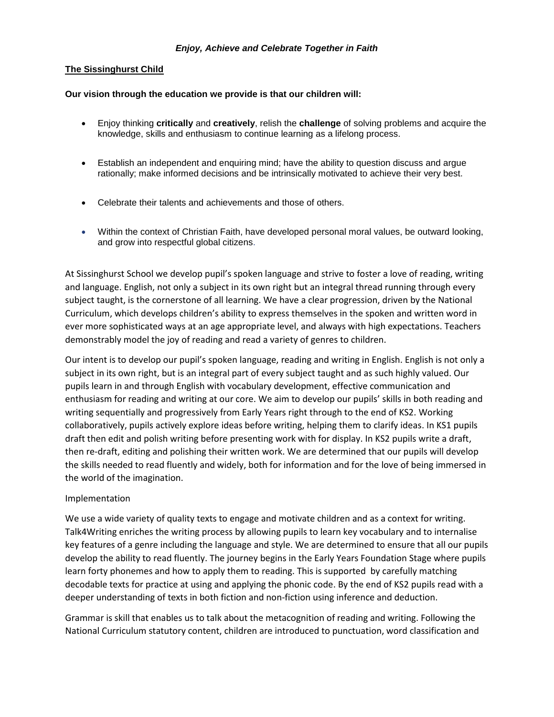## **The Sissinghurst Child**

## **Our vision through the education we provide is that our children will:**

- Enjoy thinking **critically** and **creatively**, relish the **challenge** of solving problems and acquire the knowledge, skills and enthusiasm to continue learning as a lifelong process.
- Establish an independent and enquiring mind; have the ability to question discuss and argue rationally; make informed decisions and be intrinsically motivated to achieve their very best.
- Celebrate their talents and achievements and those of others.
- Within the context of Christian Faith, have developed personal moral values, be outward looking, and grow into respectful global citizens.

At Sissinghurst School we develop pupil's spoken language and strive to foster a love of reading, writing and language. English, not only a subject in its own right but an integral thread running through every subject taught, is the cornerstone of all learning. We have a clear progression, driven by the National Curriculum, which develops children's ability to express themselves in the spoken and written word in ever more sophisticated ways at an age appropriate level, and always with high expectations. Teachers demonstrably model the joy of reading and read a variety of genres to children.

Our intent is to develop our pupil's spoken language, reading and writing in English. English is not only a subject in its own right, but is an integral part of every subject taught and as such highly valued. Our pupils learn in and through English with vocabulary development, effective communication and enthusiasm for reading and writing at our core. We aim to develop our pupils' skills in both reading and writing sequentially and progressively from Early Years right through to the end of KS2. Working collaboratively, pupils actively explore ideas before writing, helping them to clarify ideas. In KS1 pupils draft then edit and polish writing before presenting work with for display. In KS2 pupils write a draft, then re-draft, editing and polishing their written work. We are determined that our pupils will develop the skills needed to read fluently and widely, both for information and for the love of being immersed in the world of the imagination.

## Implementation

We use a wide variety of quality texts to engage and motivate children and as a context for writing. Talk4Writing enriches the writing process by allowing pupils to learn key vocabulary and to internalise key features of a genre including the language and style. We are determined to ensure that all our pupils develop the ability to read fluently. The journey begins in the Early Years Foundation Stage where pupils learn forty phonemes and how to apply them to reading. This is supported by carefully matching decodable texts for practice at using and applying the phonic code. By the end of KS2 pupils read with a deeper understanding of texts in both fiction and non-fiction using inference and deduction.

Grammar is skill that enables us to talk about the metacognition of reading and writing. Following the National Curriculum statutory content, children are introduced to punctuation, word classification and